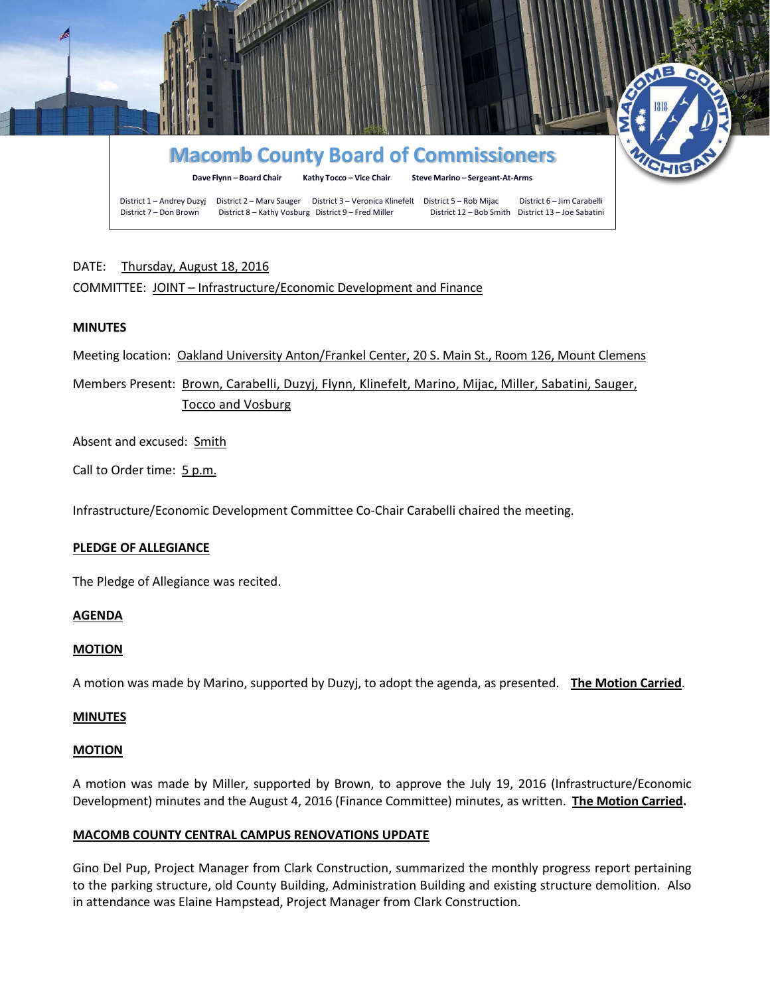

# DATE: Thursday, August 18, 2016

# COMMITTEE: JOINT – Infrastructure/Economic Development and Finance

### **MINUTES**

Meeting location: Oakland University Anton/Frankel Center, 20 S. Main St., Room 126, Mount Clemens

Members Present: Brown, Carabelli, Duzyj, Flynn, Klinefelt, Marino, Mijac, Miller, Sabatini, Sauger, Tocco and Vosburg

Absent and excused: Smith

Call to Order time: 5 p.m.

Infrastructure/Economic Development Committee Co-Chair Carabelli chaired the meeting.

#### **PLEDGE OF ALLEGIANCE**

The Pledge of Allegiance was recited.

#### **AGENDA**

#### **MOTION**

A motion was made by Marino, supported by Duzyj, to adopt the agenda, as presented. **The Motion Carried**.

#### **MINUTES**

#### **MOTION**

A motion was made by Miller, supported by Brown, to approve the July 19, 2016 (Infrastructure/Economic Development) minutes and the August 4, 2016 (Finance Committee) minutes, as written. **The Motion Carried.**

#### **MACOMB COUNTY CENTRAL CAMPUS RENOVATIONS UPDATE**

Gino Del Pup, Project Manager from Clark Construction, summarized the monthly progress report pertaining to the parking structure, old County Building, Administration Building and existing structure demolition. Also in attendance was Elaine Hampstead, Project Manager from Clark Construction.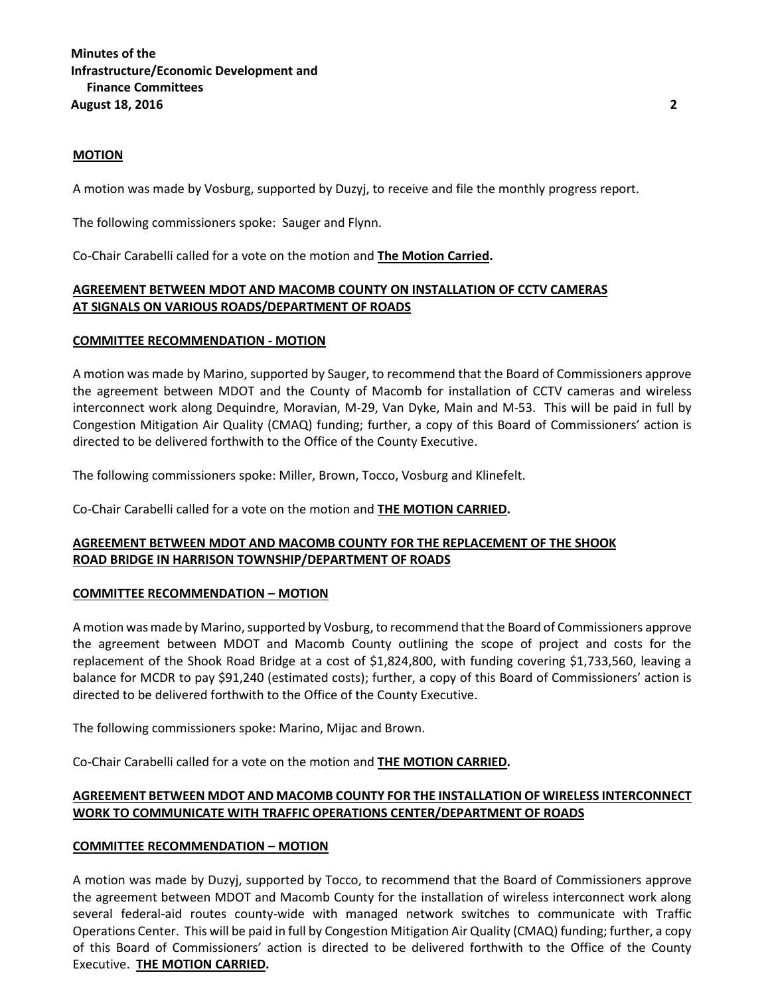# **Minutes of the Infrastructure/Economic Development and Finance Committees August 18, 2016 2**

#### **MOTION**

A motion was made by Vosburg, supported by Duzyj, to receive and file the monthly progress report.

The following commissioners spoke: Sauger and Flynn.

Co-Chair Carabelli called for a vote on the motion and **The Motion Carried.**

## **AGREEMENT BETWEEN MDOT AND MACOMB COUNTY ON INSTALLATION OF CCTV CAMERAS AT SIGNALS ON VARIOUS ROADS/DEPARTMENT OF ROADS**

#### **COMMITTEE RECOMMENDATION - MOTION**

A motion was made by Marino, supported by Sauger, to recommend that the Board of Commissioners approve the agreement between MDOT and the County of Macomb for installation of CCTV cameras and wireless interconnect work along Dequindre, Moravian, M-29, Van Dyke, Main and M-53. This will be paid in full by Congestion Mitigation Air Quality (CMAQ) funding; further, a copy of this Board of Commissioners' action is directed to be delivered forthwith to the Office of the County Executive.

The following commissioners spoke: Miller, Brown, Tocco, Vosburg and Klinefelt.

Co-Chair Carabelli called for a vote on the motion and **THE MOTION CARRIED.**

### **AGREEMENT BETWEEN MDOT AND MACOMB COUNTY FOR THE REPLACEMENT OF THE SHOOK ROAD BRIDGE IN HARRISON TOWNSHIP/DEPARTMENT OF ROADS**

### **COMMITTEE RECOMMENDATION – MOTION**

A motion was made by Marino, supported by Vosburg, to recommend that the Board of Commissioners approve the agreement between MDOT and Macomb County outlining the scope of project and costs for the replacement of the Shook Road Bridge at a cost of \$1,824,800, with funding covering \$1,733,560, leaving a balance for MCDR to pay \$91,240 (estimated costs); further, a copy of this Board of Commissioners' action is directed to be delivered forthwith to the Office of the County Executive.

The following commissioners spoke: Marino, Mijac and Brown.

Co-Chair Carabelli called for a vote on the motion and **THE MOTION CARRIED.**

# **AGREEMENT BETWEEN MDOT AND MACOMB COUNTY FOR THE INSTALLATION OF WIRELESS INTERCONNECT WORK TO COMMUNICATE WITH TRAFFIC OPERATIONS CENTER/DEPARTMENT OF ROADS**

### **COMMITTEE RECOMMENDATION – MOTION**

A motion was made by Duzyj, supported by Tocco, to recommend that the Board of Commissioners approve the agreement between MDOT and Macomb County for the installation of wireless interconnect work along several federal-aid routes county-wide with managed network switches to communicate with Traffic Operations Center. This will be paid in full by Congestion Mitigation Air Quality (CMAQ) funding; further, a copy of this Board of Commissioners' action is directed to be delivered forthwith to the Office of the County Executive. **THE MOTION CARRIED.**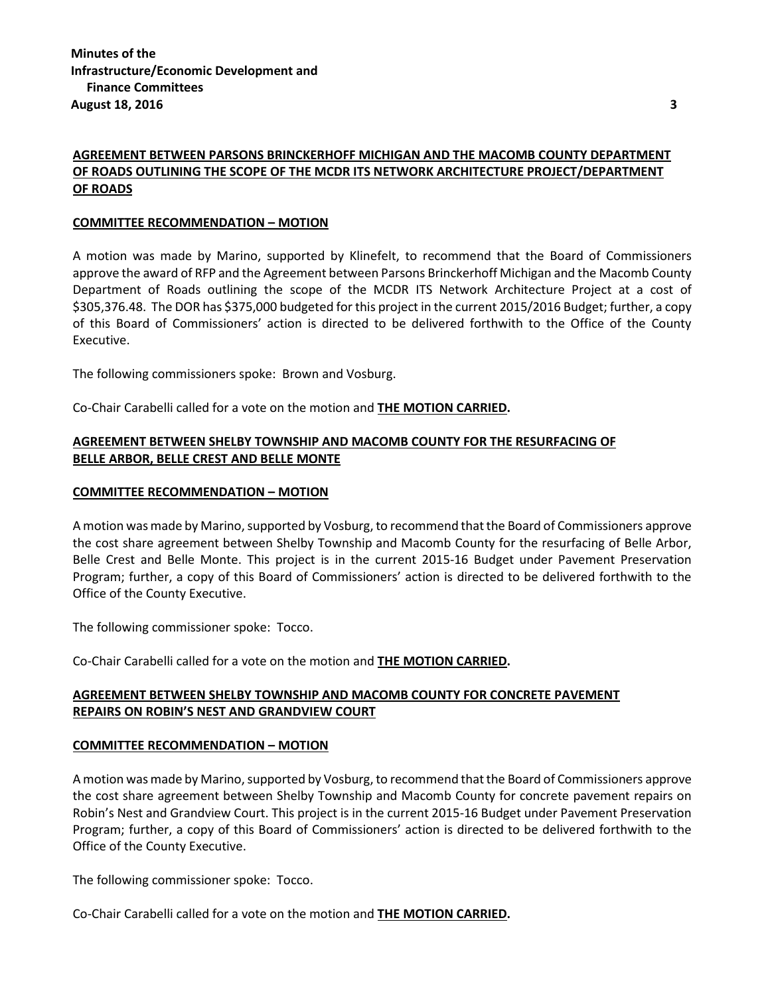# **AGREEMENT BETWEEN PARSONS BRINCKERHOFF MICHIGAN AND THE MACOMB COUNTY DEPARTMENT OF ROADS OUTLINING THE SCOPE OF THE MCDR ITS NETWORK ARCHITECTURE PROJECT/DEPARTMENT OF ROADS**

#### **COMMITTEE RECOMMENDATION – MOTION**

A motion was made by Marino, supported by Klinefelt, to recommend that the Board of Commissioners approve the award of RFP and the Agreement between Parsons Brinckerhoff Michigan and the Macomb County Department of Roads outlining the scope of the MCDR ITS Network Architecture Project at a cost of \$305,376.48. The DOR has \$375,000 budgeted for this project in the current 2015/2016 Budget; further, a copy of this Board of Commissioners' action is directed to be delivered forthwith to the Office of the County Executive.

The following commissioners spoke: Brown and Vosburg.

Co-Chair Carabelli called for a vote on the motion and **THE MOTION CARRIED.**

## **AGREEMENT BETWEEN SHELBY TOWNSHIP AND MACOMB COUNTY FOR THE RESURFACING OF BELLE ARBOR, BELLE CREST AND BELLE MONTE**

#### **COMMITTEE RECOMMENDATION – MOTION**

A motion was made by Marino, supported by Vosburg, to recommend that the Board of Commissioners approve the cost share agreement between Shelby Township and Macomb County for the resurfacing of Belle Arbor, Belle Crest and Belle Monte. This project is in the current 2015-16 Budget under Pavement Preservation Program; further, a copy of this Board of Commissioners' action is directed to be delivered forthwith to the Office of the County Executive.

The following commissioner spoke: Tocco.

Co-Chair Carabelli called for a vote on the motion and **THE MOTION CARRIED.**

# **AGREEMENT BETWEEN SHELBY TOWNSHIP AND MACOMB COUNTY FOR CONCRETE PAVEMENT REPAIRS ON ROBIN'S NEST AND GRANDVIEW COURT**

#### **COMMITTEE RECOMMENDATION – MOTION**

A motion was made by Marino, supported by Vosburg, to recommend that the Board of Commissioners approve the cost share agreement between Shelby Township and Macomb County for concrete pavement repairs on Robin's Nest and Grandview Court. This project is in the current 2015-16 Budget under Pavement Preservation Program; further, a copy of this Board of Commissioners' action is directed to be delivered forthwith to the Office of the County Executive.

The following commissioner spoke: Tocco.

Co-Chair Carabelli called for a vote on the motion and **THE MOTION CARRIED.**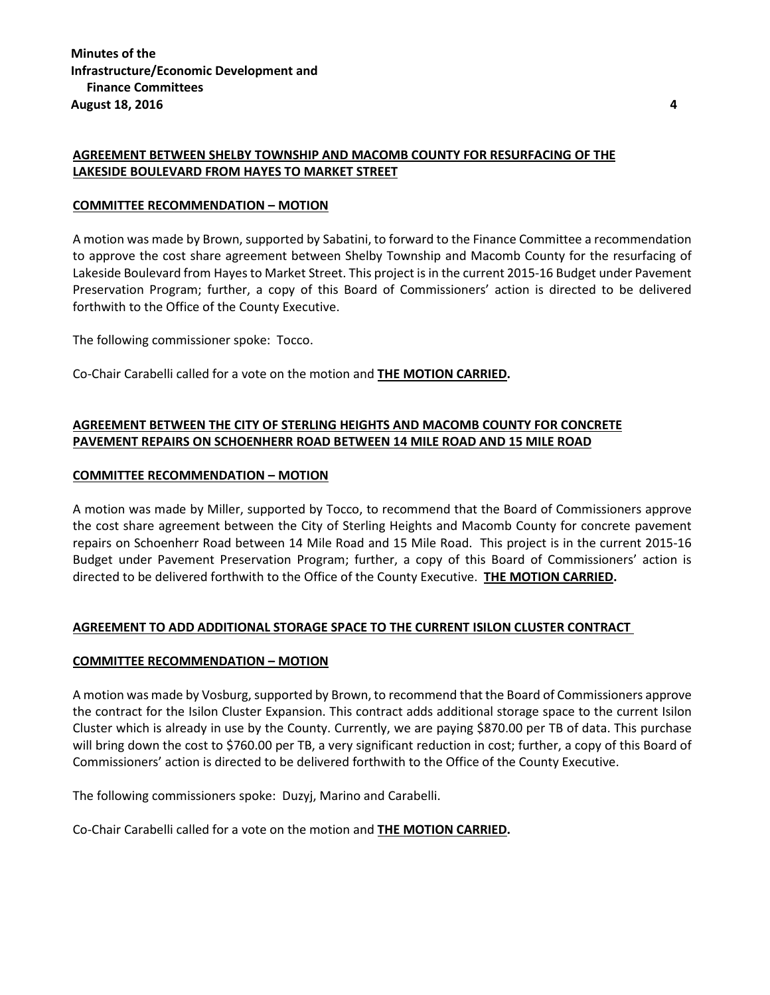### **AGREEMENT BETWEEN SHELBY TOWNSHIP AND MACOMB COUNTY FOR RESURFACING OF THE LAKESIDE BOULEVARD FROM HAYES TO MARKET STREET**

#### **COMMITTEE RECOMMENDATION – MOTION**

A motion was made by Brown, supported by Sabatini, to forward to the Finance Committee a recommendation to approve the cost share agreement between Shelby Township and Macomb County for the resurfacing of Lakeside Boulevard from Hayes to Market Street. This project is in the current 2015-16 Budget under Pavement Preservation Program; further, a copy of this Board of Commissioners' action is directed to be delivered forthwith to the Office of the County Executive.

The following commissioner spoke: Tocco.

Co-Chair Carabelli called for a vote on the motion and **THE MOTION CARRIED.**

# **AGREEMENT BETWEEN THE CITY OF STERLING HEIGHTS AND MACOMB COUNTY FOR CONCRETE PAVEMENT REPAIRS ON SCHOENHERR ROAD BETWEEN 14 MILE ROAD AND 15 MILE ROAD**

#### **COMMITTEE RECOMMENDATION – MOTION**

A motion was made by Miller, supported by Tocco, to recommend that the Board of Commissioners approve the cost share agreement between the City of Sterling Heights and Macomb County for concrete pavement repairs on Schoenherr Road between 14 Mile Road and 15 Mile Road. This project is in the current 2015-16 Budget under Pavement Preservation Program; further, a copy of this Board of Commissioners' action is directed to be delivered forthwith to the Office of the County Executive. **THE MOTION CARRIED.**

### **AGREEMENT TO ADD ADDITIONAL STORAGE SPACE TO THE CURRENT ISILON CLUSTER CONTRACT**

#### **COMMITTEE RECOMMENDATION – MOTION**

A motion was made by Vosburg, supported by Brown, to recommend that the Board of Commissioners approve the contract for the Isilon Cluster Expansion. This contract adds additional storage space to the current Isilon Cluster which is already in use by the County. Currently, we are paying \$870.00 per TB of data. This purchase will bring down the cost to \$760.00 per TB, a very significant reduction in cost; further, a copy of this Board of Commissioners' action is directed to be delivered forthwith to the Office of the County Executive.

The following commissioners spoke: Duzyj, Marino and Carabelli.

Co-Chair Carabelli called for a vote on the motion and **THE MOTION CARRIED.**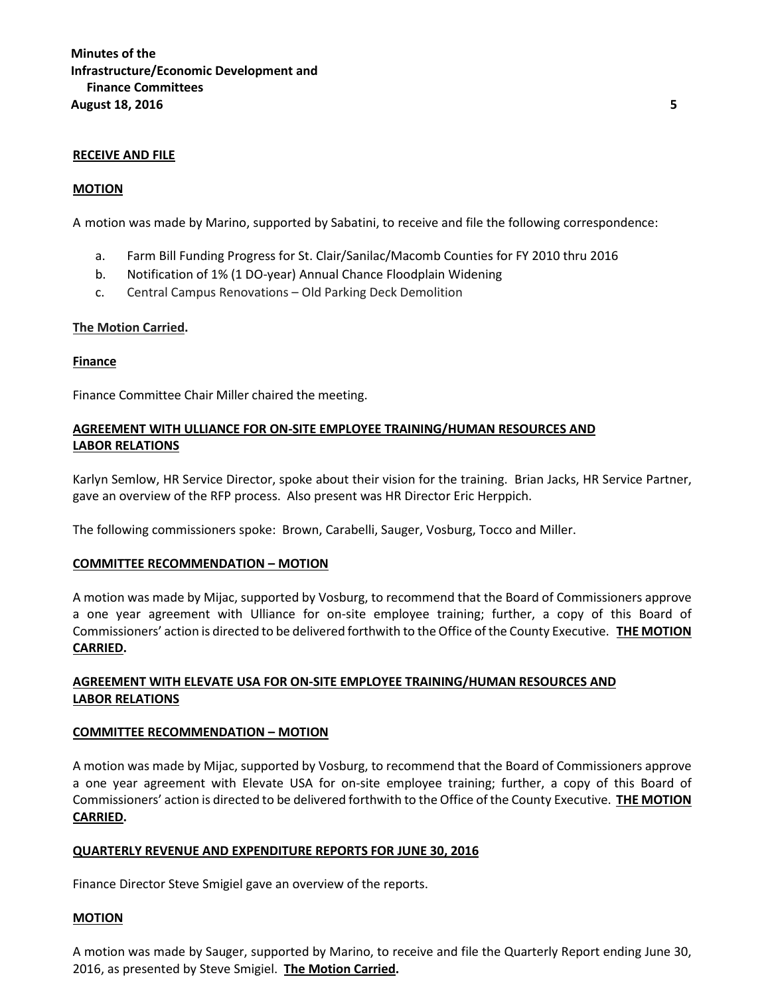#### **RECEIVE AND FILE**

#### **MOTION**

A motion was made by Marino, supported by Sabatini, to receive and file the following correspondence:

- a. Farm Bill Funding Progress for St. Clair/Sanilac/Macomb Counties for FY 2010 thru 2016
- b. Notification of 1% (1 DO-year) Annual Chance Floodplain Widening
- c. Central Campus Renovations Old Parking Deck Demolition

#### **The Motion Carried.**

#### **Finance**

Finance Committee Chair Miller chaired the meeting.

## **AGREEMENT WITH ULLIANCE FOR ON-SITE EMPLOYEE TRAINING/HUMAN RESOURCES AND LABOR RELATIONS**

Karlyn Semlow, HR Service Director, spoke about their vision for the training. Brian Jacks, HR Service Partner, gave an overview of the RFP process. Also present was HR Director Eric Herppich.

The following commissioners spoke: Brown, Carabelli, Sauger, Vosburg, Tocco and Miller.

#### **COMMITTEE RECOMMENDATION – MOTION**

A motion was made by Mijac, supported by Vosburg, to recommend that the Board of Commissioners approve a one year agreement with Ulliance for on-site employee training; further, a copy of this Board of Commissioners' action is directed to be delivered forthwith to the Office of the County Executive. **THE MOTION CARRIED.**

# **AGREEMENT WITH ELEVATE USA FOR ON-SITE EMPLOYEE TRAINING/HUMAN RESOURCES AND LABOR RELATIONS**

### **COMMITTEE RECOMMENDATION – MOTION**

A motion was made by Mijac, supported by Vosburg, to recommend that the Board of Commissioners approve a one year agreement with Elevate USA for on-site employee training; further, a copy of this Board of Commissioners' action is directed to be delivered forthwith to the Office of the County Executive. **THE MOTION CARRIED.**

#### **QUARTERLY REVENUE AND EXPENDITURE REPORTS FOR JUNE 30, 2016**

Finance Director Steve Smigiel gave an overview of the reports.

### **MOTION**

A motion was made by Sauger, supported by Marino, to receive and file the Quarterly Report ending June 30, 2016, as presented by Steve Smigiel. **The Motion Carried.**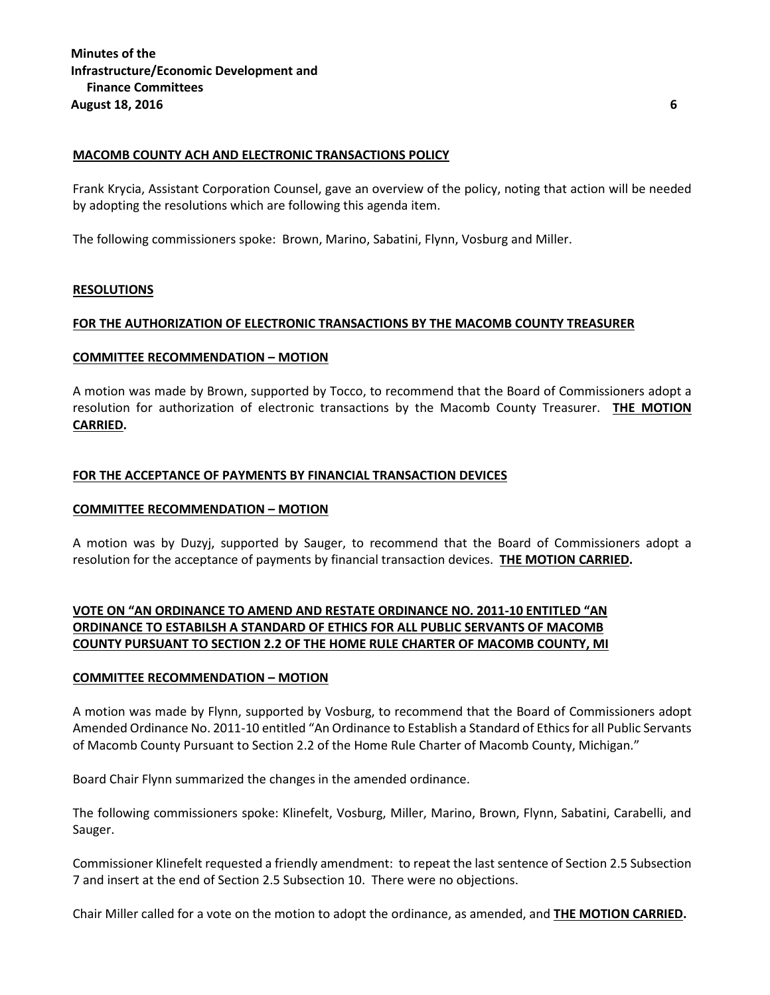#### **MACOMB COUNTY ACH AND ELECTRONIC TRANSACTIONS POLICY**

Frank Krycia, Assistant Corporation Counsel, gave an overview of the policy, noting that action will be needed by adopting the resolutions which are following this agenda item.

The following commissioners spoke: Brown, Marino, Sabatini, Flynn, Vosburg and Miller.

#### **RESOLUTIONS**

#### **FOR THE AUTHORIZATION OF ELECTRONIC TRANSACTIONS BY THE MACOMB COUNTY TREASURER**

#### **COMMITTEE RECOMMENDATION – MOTION**

A motion was made by Brown, supported by Tocco, to recommend that the Board of Commissioners adopt a resolution for authorization of electronic transactions by the Macomb County Treasurer. **THE MOTION CARRIED.**

#### **FOR THE ACCEPTANCE OF PAYMENTS BY FINANCIAL TRANSACTION DEVICES**

#### **COMMITTEE RECOMMENDATION – MOTION**

A motion was by Duzyj, supported by Sauger, to recommend that the Board of Commissioners adopt a resolution for the acceptance of payments by financial transaction devices. **THE MOTION CARRIED.**

# **VOTE ON "AN ORDINANCE TO AMEND AND RESTATE ORDINANCE NO. 2011-10 ENTITLED "AN ORDINANCE TO ESTABILSH A STANDARD OF ETHICS FOR ALL PUBLIC SERVANTS OF MACOMB COUNTY PURSUANT TO SECTION 2.2 OF THE HOME RULE CHARTER OF MACOMB COUNTY, MI**

#### **COMMITTEE RECOMMENDATION – MOTION**

A motion was made by Flynn, supported by Vosburg, to recommend that the Board of Commissioners adopt Amended Ordinance No. 2011-10 entitled "An Ordinance to Establish a Standard of Ethics for all Public Servants of Macomb County Pursuant to Section 2.2 of the Home Rule Charter of Macomb County, Michigan."

Board Chair Flynn summarized the changes in the amended ordinance.

The following commissioners spoke: Klinefelt, Vosburg, Miller, Marino, Brown, Flynn, Sabatini, Carabelli, and Sauger.

Commissioner Klinefelt requested a friendly amendment: to repeat the last sentence of Section 2.5 Subsection 7 and insert at the end of Section 2.5 Subsection 10. There were no objections.

Chair Miller called for a vote on the motion to adopt the ordinance, as amended, and **THE MOTION CARRIED.**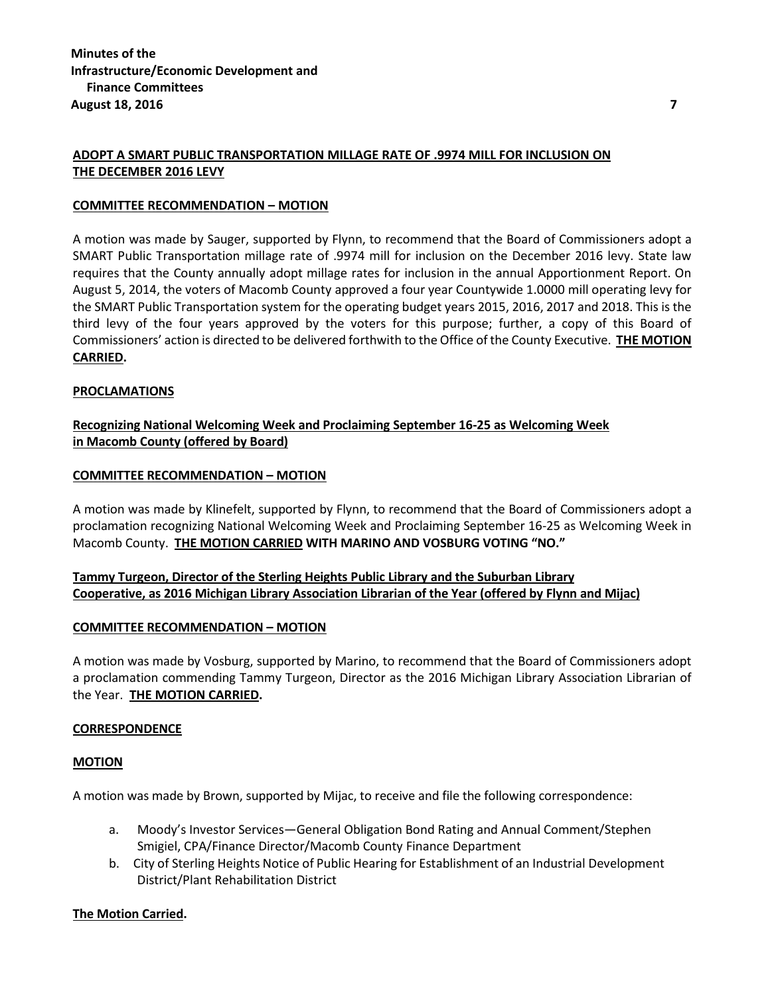## **ADOPT A SMART PUBLIC TRANSPORTATION MILLAGE RATE OF .9974 MILL FOR INCLUSION ON THE DECEMBER 2016 LEVY**

#### **COMMITTEE RECOMMENDATION – MOTION**

A motion was made by Sauger, supported by Flynn, to recommend that the Board of Commissioners adopt a SMART Public Transportation millage rate of .9974 mill for inclusion on the December 2016 levy. State law requires that the County annually adopt millage rates for inclusion in the annual Apportionment Report. On August 5, 2014, the voters of Macomb County approved a four year Countywide 1.0000 mill operating levy for the SMART Public Transportation system for the operating budget years 2015, 2016, 2017 and 2018. This is the third levy of the four years approved by the voters for this purpose; further, a copy of this Board of Commissioners' action is directed to be delivered forthwith to the Office of the County Executive. **THE MOTION CARRIED.**

#### **PROCLAMATIONS**

# **Recognizing National Welcoming Week and Proclaiming September 16-25 as Welcoming Week in Macomb County (offered by Board)**

#### **COMMITTEE RECOMMENDATION – MOTION**

A motion was made by Klinefelt, supported by Flynn, to recommend that the Board of Commissioners adopt a proclamation recognizing National Welcoming Week and Proclaiming September 16-25 as Welcoming Week in Macomb County. **THE MOTION CARRIED WITH MARINO AND VOSBURG VOTING "NO."**

# **Tammy Turgeon, Director of the Sterling Heights Public Library and the Suburban Library Cooperative, as 2016 Michigan Library Association Librarian of the Year (offered by Flynn and Mijac)**

#### **COMMITTEE RECOMMENDATION – MOTION**

A motion was made by Vosburg, supported by Marino, to recommend that the Board of Commissioners adopt a proclamation commending Tammy Turgeon, Director as the 2016 Michigan Library Association Librarian of the Year. **THE MOTION CARRIED.**

#### **CORRESPONDENCE**

#### **MOTION**

A motion was made by Brown, supported by Mijac, to receive and file the following correspondence:

- a. Moody's Investor Services—General Obligation Bond Rating and Annual Comment/Stephen Smigiel, CPA/Finance Director/Macomb County Finance Department
- b. City of Sterling Heights Notice of Public Hearing for Establishment of an Industrial Development District/Plant Rehabilitation District

#### **The Motion Carried.**